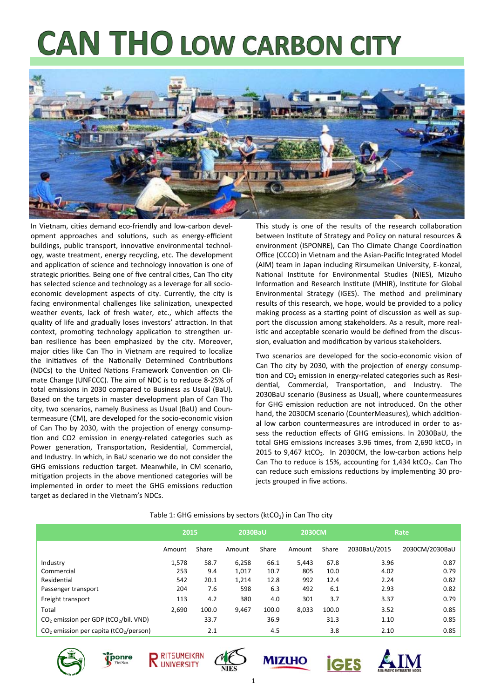# **CAN THO LOW CARBON CITY**



In Vietnam, cities demand eco-friendly and low-carbon development approaches and solutions, such as energy-efficient buildings, public transport, innovative environmental technology, waste treatment, energy recycling, etc. The development and application of science and technology innovation is one of strategic priorities. Being one of five central cities, Can Tho city has selected science and technology as a leverage for all socioeconomic development aspects of city. Currently, the city is facing environmental challenges like salinization, unexpected weather events, lack of fresh water, etc., which affects the quality of life and gradually loses investors' attraction. In that context, promoting technology application to strengthen urban resilience has been emphasized by the city. Moreover, major cities like Can Tho in Vietnam are required to localize the initiatives of the Nationally Determined Contributions (NDCs) to the United Nations Framework Convention on Climate Change (UNFCCC). The aim of NDC is to reduce 8‐25% of total emissions in 2030 compared to Business as Usual (BaU). Based on the targets in master development plan of Can Tho city, two scenarios, namely Business as Usual (BaU) and Coun‐ termeasure (CM), are developed for the socio‐economic vision of Can Tho by 2030, with the projection of energy consumption and CO2 emission in energy-related categories such as Power generation, Transportation, Residential, Commercial, and Industry. In which, in BaU scenario we do not consider the GHG emissions reduction target. Meanwhile, in CM scenario, mitigation projects in the above mentioned categories will be implemented in order to meet the GHG emissions reduction target as declared in the Vietnam's NDCs.

This study is one of the results of the research collaboration between Institute of Strategy and Policy on natural resources & environment (ISPONRE), Can Tho Climate Change Coordination Office (CCCO) in Vietnam and the Asian‐Pacific Integrated Model (AIM) team in Japan including Rirsumeikan University, E‐konzal, National Institute for Environmental Studies (NIES), Mizuho Information and Research Institute (MHIR), Institute for Global Environmental Strategy (IGES). The method and preliminary results of this research, we hope, would be provided to a policy making process as a starting point of discussion as well as support the discussion among stakeholders. As a result, more real‐ istic and acceptable scenario would be defined from the discussion, evaluation and modification by various stakeholders.

Two scenarios are developed for the socio-economic vision of Can Tho city by 2030, with the projection of energy consumption and  $CO<sub>2</sub>$  emission in energy-related categories such as Residential, Commercial, Transportation, and Industry. The 2030BaU scenario (Business as Usual), where countermeasures for GHG emission reduction are not introduced. On the other hand, the 2030CM scenario (CounterMeasures), which additional low carbon countermeasures are introduced in order to assess the reduction effects of GHG emissions. In 2030BaU, the total GHG emissions increases  $3.96$  times, from  $2,690$  ktCO<sub>2</sub> in 2015 to  $9,467$  ktCO<sub>2</sub>. In 2030CM, the low-carbon actions help Can Tho to reduce is 15%, accounting for 1,434 ktCO<sub>2</sub>. Can Tho can reduce such emissions reductions by implementing 30 projects grouped in five actions.

|                                                      | 2015   |       | 2030BaU |       | <b>2030CM</b> |       | Rate         |                |
|------------------------------------------------------|--------|-------|---------|-------|---------------|-------|--------------|----------------|
|                                                      | Amount | Share | Amount  | Share | Amount        | Share | 2030BaU/2015 | 2030CM/2030BaU |
| Industry                                             | 1,578  | 58.7  | 6.258   | 66.1  | 5.443         | 67.8  | 3.96         | 0.87           |
| Commercial                                           | 253    | 9.4   | 1,017   | 10.7  | 805           | 10.0  | 4.02         | 0.79           |
| Residential                                          | 542    | 20.1  | 1,214   | 12.8  | 992           | 12.4  | 2.24         | 0.82           |
| Passenger transport                                  | 204    | 7.6   | 598     | 6.3   | 492           | 6.1   | 2.93         | 0.82           |
| Freight transport                                    | 113    | 4.2   | 380     | 4.0   | 301           | 3.7   | 3.37         | 0.79           |
| Total                                                | 2.690  | 100.0 | 9.467   | 100.0 | 8.033         | 100.0 | 3.52         | 0.85           |
| $CO2$ emission per GDP (tCO <sub>2</sub> /bil. VND)  |        | 33.7  |         | 36.9  |               | 31.3  | 1.10         | 0.85           |
| $CO2$ emission per capita (tCO <sub>2</sub> /person) |        | 2.1   |         | 4.5   |               | 3.8   | 2.10         | 0.85           |

#### Table 1: GHG emissions by sectors ( $ktCO<sub>2</sub>$ ) in Can Tho city











**İGES**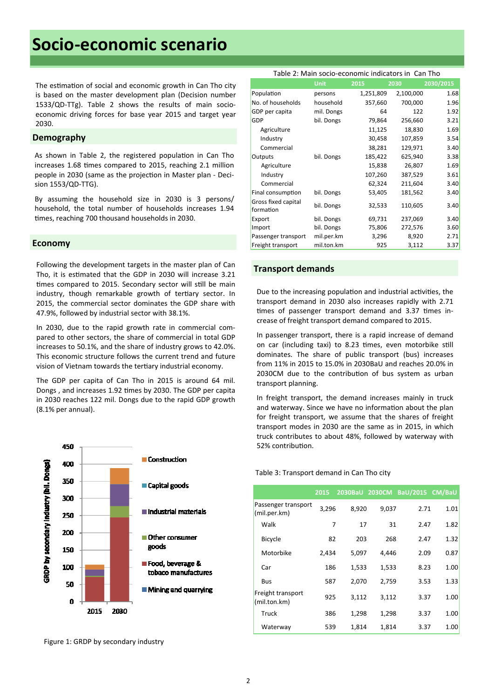## **Socio‐economic scenario**

The estimation of social and economic growth in Can Tho city is based on the master development plan (Decision number 1533/QD-TTg). Table 2 shows the results of main socioeconomic driving forces for base year 2015 and target year 2030.

#### **Demography**

As shown in Table 2, the registered population in Can Tho increases 1.68 times compared to 2015, reaching 2.1 million people in 2030 (same as the projection in Master plan - Decision 1553/QD‐TTG).

By assuming the household size in 2030 is 3 persons/ household, the total number of households increases 1.94 times, reaching 700 thousand households in 2030.

#### **Economy**

Following the development targets in the master plan of Can<br> **Transport demands** Tho, it is estimated that the GDP in 2030 will increase 3.21 times compared to 2015. Secondary sector will still be main industry, though remarkable growth of tertiary sector. In 2015, the commercial sector dominates the GDP share with 47.9%, followed by industrial sector with 38.1%.

In 2030, due to the rapid growth rate in commercial com‐ pared to other sectors, the share of commercial in total GDP increases to 50.1%, and the share of industry grows to 42.0%. This economic structure follows the current trend and future vision of Vietnam towards the tertiary industrial economy.

The GDP per capita of Can Tho in 2015 is around 64 mil. Dongs, and increases 1.92 times by 2030. The GDP per capita in 2030 reaches 122 mil. Dongs due to the rapid GDP growth (8.1% per annual).



Figure 1: GRDP by secondary industry

#### Table 2: Main socio‐economic indicators in Can Tho

|                                  | <b>Unit</b> | 2015      | 2030      | 2030/2015 |
|----------------------------------|-------------|-----------|-----------|-----------|
| Population                       | persons     | 1,251,809 | 2,100,000 | 1.68      |
| No. of households                | household   | 357,660   | 700,000   | 1.96      |
| GDP per capita                   | mil. Dongs  | 64        | 122       | 1.92      |
| GDP                              | bil. Dongs  | 79,864    | 256,660   | 3.21      |
| Agriculture                      |             | 11,125    | 18,830    | 1.69      |
| Industry                         |             | 30,458    | 107,859   | 3.54      |
| Commercial                       |             | 38,281    | 129,971   | 3.40      |
| Outputs                          | bil. Dongs  | 185,422   | 625,940   | 3.38      |
| Agriculture                      |             | 15,838    | 26,807    | 1.69      |
| Industry                         |             | 107,260   | 387,529   | 3.61      |
| Commercial                       |             | 62,324    | 211,604   | 3.40      |
| Final consumption                | bil. Dongs  | 53,405    | 181,562   | 3.40      |
| Gross fixed capital<br>formation | bil. Dongs  | 32,533    | 110,605   | 3.40      |
| Export                           | bil. Dongs  | 69,731    | 237,069   | 3.40      |
| Import                           | bil. Dongs  | 75,806    | 272,576   | 3.60      |
| Passenger transport              | mil.per.km  | 3,296     | 8,920     | 2.71      |
| Freight transport                | mil.ton.km  | 925       | 3,112     | 3.37      |

Due to the increasing population and industrial activities, the transport demand in 2030 also increases rapidly with 2.71 times of passenger transport demand and 3.37 times increase of freight transport demand compared to 2015.

In passenger transport, there is a rapid increase of demand on car (including taxi) to 8.23 times, even motorbike still dominates. The share of public transport (bus) increases from 11% in 2015 to 15.0% in 2030BaU and reaches 20.0% in 2030CM due to the contribution of bus system as urban transport planning.

In freight transport, the demand increases mainly in truck and waterway. Since we have no information about the plan for freight transport, we assume that the shares of freight transport modes in 2030 are the same as in 2015, in which truck contributes to about 48%, followed by waterway with 52% contribution.

#### Table 3: Transport demand in Can Tho city

|                                     | 2015  |       |       | 2030BaU 2030CM BaU/2015 CM/BaU |      |
|-------------------------------------|-------|-------|-------|--------------------------------|------|
| Passenger transport<br>(mil.per.km) | 3,296 | 8,920 | 9,037 | 2.71                           | 1.01 |
| Walk                                | 7     | 17    | 31    | 2.47                           | 1.82 |
| <b>Bicycle</b>                      | 82    | 203   | 268   | 2.47                           | 1.32 |
| Motorbike                           | 2,434 | 5,097 | 4,446 | 2.09                           | 0.87 |
| Car                                 | 186   | 1,533 | 1,533 | 8.23                           | 1.00 |
| <b>Bus</b>                          | 587   | 2,070 | 2,759 | 3.53                           | 1.33 |
| Freight transport<br>(mil.ton.km)   | 925   | 3,112 | 3,112 | 3.37                           | 1.00 |
| Truck                               | 386   | 1,298 | 1,298 | 3.37                           | 1.00 |
| Waterway                            | 539   | 1,814 | 1.814 | 3.37                           | 1.00 |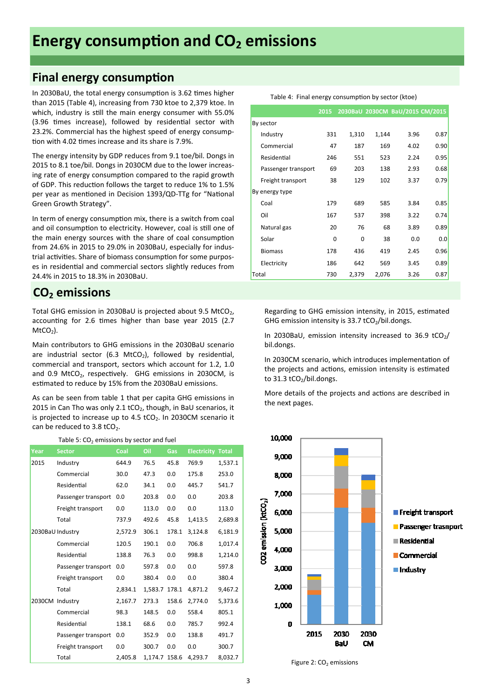### **Energy consumption and CO<sub>2</sub> emissions**

### **Final energy consumption**

In 2030BaU, the total energy consumption is 3.62 times higher than 2015 (Table 4), increasing from 730 ktoe to 2,379 ktoe. In which, industry is still the main energy consumer with 55.0% (3.96 times increase), followed by residential sector with 23.2%. Commercial has the highest speed of energy consump‐ tion with 4.02 times increase and its share is 7.9%.

The energy intensity by GDP reduces from 9.1 toe/bil. Dongs in 2015 to 8.1 toe/bil. Dongs in 2030CM due to the lower increas‐ ing rate of energy consumption compared to the rapid growth of GDP. This reduction follows the target to reduce 1% to 1.5% per year as mentioned in Decision 1393/QD-TTg for "National Green Growth Strategy".

In term of energy consumption mix, there is a switch from coal and oil consumption to electricity. However, coal is still one of the main energy sources with the share of coal consumption from 24.6% in 2015 to 29.0% in 2030BaU, especially for indus‐ trial activities. Share of biomass consumption for some purposes in residential and commercial sectors slightly reduces from 24.4% in 2015 to 18.3% in 2030BaU.

### CO<sub>2</sub> emissions

Total GHG emission in 2030BaU is projected about 9.5 MtCO<sub>2</sub>, accounting for 2.6 times higher than base year 2015 (2.7  $MtCO<sub>2</sub>$ ).

Main contributors to GHG emissions in the 2030BaU scenario are industrial sector (6.3 MtCO<sub>2</sub>), followed by residential, commercial and transport, sectors which account for 1.2, 1.0 and  $0.9$  MtCO<sub>2</sub>, respectively. GHG emissions in 2030CM, is estimated to reduce by 15% from the 2030BaU emissions.

As can be seen from table 1 that per capita GHG emissions in 2015 in Can Tho was only 2.1  $tCO<sub>2</sub>$ , though, in BaU scenarios, it is projected to increase up to 4.5 tCO<sub>2</sub>. In 2030CM scenario it can be reduced to  $3.8$  tCO<sub>2</sub>.

|      | Table 5: $CO2$ emissions by sector and fuel |         |               |       |                    |              |
|------|---------------------------------------------|---------|---------------|-------|--------------------|--------------|
| Year | <b>Sector</b>                               | Coal    | Oil           | Gas   | <b>Electricity</b> | <b>Total</b> |
| 2015 | Industry                                    | 644.9   | 76.5          | 45.8  | 769.9              | 1,537.1      |
|      | Commercial                                  | 30.0    | 47.3          | 0.0   | 175.8              | 253.0        |
|      | Residential                                 | 62.0    | 34.1          | 0.0   | 445.7              | 541.7        |
|      | Passenger transport                         | 0.0     | 203.8         | 0.0   | 0.0                | 203.8        |
|      | Freight transport                           | 0.0     | 113.0         | 0.0   | 0.0                | 113.0        |
|      | Total                                       | 737.9   | 492.6         | 45.8  | 1,413.5            | 2,689.8      |
|      | 2030BaU Industry                            | 2,572.9 | 306.1         | 178.1 | 3,124.8            | 6,181.9      |
|      | Commercial                                  | 120.5   | 190.1         | 0.0   | 706.8              | 1,017.4      |
|      | Residential                                 | 138.8   | 76.3          | 0.0   | 998.8              | 1,214.0      |
|      | Passenger transport                         | 0.0     | 597.8         | 0.0   | 0.0                | 597.8        |
|      | Freight transport                           | 0.0     | 380.4         | 0.0   | 0.0                | 380.4        |
|      | Total                                       | 2,834.1 | 1,583.7       | 178.1 | 4,871.2            | 9,467.2      |
|      | 2030CM Industry                             | 2,167.7 | 273.3         | 158.6 | 2.774.0            | 5,373.6      |
|      | Commercial                                  | 98.3    | 148.5         | 0.0   | 558.4              | 805.1        |
|      | Residential                                 | 138.1   | 68.6          | 0.0   | 785.7              | 992.4        |
|      | Passenger transport                         | 0.0     | 352.9         | 0.0   | 138.8              | 491.7        |
|      | Freight transport                           | 0.0     | 300.7         | 0.0   | 0.0                | 300.7        |
|      | Total                                       | 2.405.8 | 1,174.7 158.6 |       | 4,293.7            | 8,032.7      |

|                     | 2015 |       |       | 2030BaU 2030CM BaU/2015 CM/2015 |      |
|---------------------|------|-------|-------|---------------------------------|------|
| By sector           |      |       |       |                                 |      |
| Industry            | 331  | 1,310 | 1,144 | 3.96                            | 0.87 |
| Commercial          | 47   | 187   | 169   | 4.02                            | 0.90 |
| Residential         | 246  | 551   | 523   | 2.24                            | 0.95 |
| Passenger transport | 69   | 203   | 138   | 2.93                            | 0.68 |
| Freight transport   | 38   | 129   | 102   | 3.37                            | 0.79 |
| By energy type      |      |       |       |                                 |      |
| Coal                | 179  | 689   | 585   | 3.84                            | 0.85 |
| Oil                 | 167  | 537   | 398   | 3.22                            | 0.74 |
| Natural gas         | 20   | 76    | 68    | 3.89                            | 0.89 |
| Solar               | 0    | 0     | 38    | 0.0                             | 0.0  |
| <b>Biomass</b>      | 178  | 436   | 419   | 2.45                            | 0.96 |
| Electricity         | 186  | 642   | 569   | 3.45                            | 0.89 |
| Total               | 730  | 2,379 | 2,076 | 3.26                            | 0.87 |

Table 4: Final energy consumption by sector (ktoe)

Table 3: Final energy consumpƟon by sectors (ktoe)

Regarding to GHG emission intensity, in 2015, estimated GHG emission intensity is 33.7 tCO<sub>2</sub>/bil.dongs.

In 2030BaU, emission intensity increased to 36.9  $tCO<sub>2</sub>/$ bil.dongs.

In 2030CM scenario, which introduces implementation of the projects and actions, emission intensity is estimated to 31.3 tCO<sub>2</sub>/bil.dongs.

More details of the projects and actions are described in the next pages.



Figure 2:  $CO<sub>2</sub>$  emissions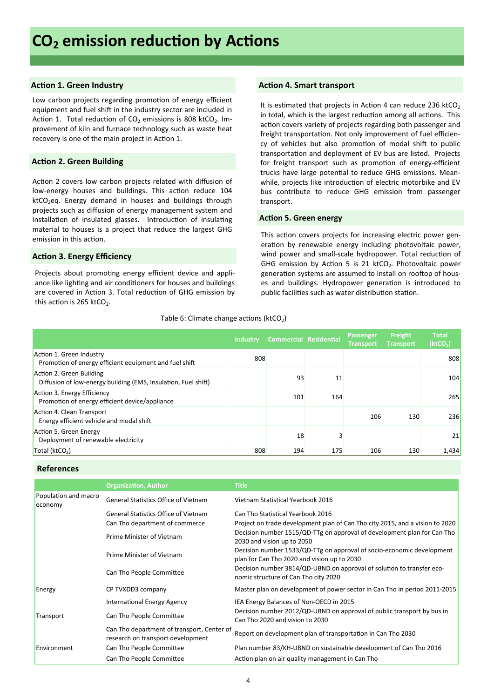#### **Action 1. Green Industry**

Low carbon projects regarding promotion of energy efficient equipment and fuel shift in the industry sector are included in Action 1. Total reduction of  $CO<sub>2</sub>$  emissions is 808 ktCO<sub>2</sub>. Improvement of kiln and furnace technology such as waste heat recovery is one of the main project in Action 1.

#### **Action 2. Green Building**

Action 2 covers low carbon projects related with diffusion of low-energy houses and buildings. This action reduce 104 ktCO<sub>2</sub>eq. Energy demand in houses and buildings through projects such as diffusion of energy management system and installation of insulated glasses. Introduction of insulating material to houses is a project that reduce the largest GHG emission in this action.

#### **Action 3. Energy Efficiency**

Projects about promoting energy efficient device and appliance like lighting and air conditioners for houses and buildings are covered in Action 3. Total reduction of GHG emission by this action is 265 ktCO<sub>2</sub>.

#### **Action 4. Smart transport**

It is estimated that projects in Action 4 can reduce 236 ktCO<sub>2</sub> in total, which is the largest reduction among all actions. This action covers variety of projects regarding both passenger and freight transportation. Not only improvement of fuel efficiency of vehicles but also promotion of modal shift to public transportation and deployment of EV bus are listed. Projects for freight transport such as promotion of energy-efficient trucks have large potential to reduce GHG emissions. Meanwhile, projects like introduction of electric motorbike and EV bus contribute to reduce GHG emission from passenger transport.

#### **Action 5. Green energy**

This action covers projects for increasing electric power generation by renewable energy including photovoltaic power, wind power and small-scale hydropower. Total reduction of GHG emission by Action 5 is 21  $kCO<sub>2</sub>$ . Photovoltaic power generation systems are assumed to install on rooftop of houses and buildings. Hydropower generation is introduced to public facilities such as water distribution station.

#### Table 6: Climate change actions ( $ktCO<sub>2</sub>$ )

|                                                                                            | <b>Industry</b> | <b>Commercial Residential</b> |     | Passenger<br><b>Transport</b> | Freight<br><b>Transport</b> | <b>Total</b><br>(ktCO <sub>2</sub> ) |
|--------------------------------------------------------------------------------------------|-----------------|-------------------------------|-----|-------------------------------|-----------------------------|--------------------------------------|
| Action 1. Green Industry<br>Promotion of energy efficient equipment and fuel shift         | 808             |                               |     |                               |                             | 808                                  |
| Action 2. Green Building<br>Diffusion of low-energy building (EMS, Insulation, Fuel shift) |                 | 93                            | 11  |                               |                             | 104                                  |
| Action 3. Energy Efficiency<br>Promotion of energy efficient device/appliance              |                 | 101                           | 164 |                               |                             | 265                                  |
| Action 4. Clean Transport<br>Energy efficient vehicle and modal shift                      |                 |                               |     | 106                           | 130                         | 236                                  |
| Action 5. Green Energy<br>Deployment of renewable electricity                              |                 | 18                            |     |                               |                             | 21                                   |
| Total ( $ktCO2$ )                                                                          | 808             | 194                           | 175 | 106                           | 130                         | 1,434                                |

#### **References**

|                                 | <b>Organization, Author</b>                                                     | <b>Title</b>                                                                                                         |
|---------------------------------|---------------------------------------------------------------------------------|----------------------------------------------------------------------------------------------------------------------|
| Population and macro<br>economy | <b>General Statistics Office of Vietnam</b>                                     | Vietnam Statistical Yearbook 2016                                                                                    |
|                                 | <b>General Statistics Office of Vietnam</b>                                     | Can Tho Statistical Yearbook 2016                                                                                    |
|                                 | Can Tho department of commerce                                                  | Project on trade development plan of Can Tho city 2015, and a vision to 2020                                         |
|                                 | Prime Minister of Vietnam                                                       | Decision number 1515/QD-TTg on approval of development plan for Can Tho<br>2030 and vision up to 2050                |
|                                 | Prime Minister of Vietnam                                                       | Decision number 1533/QD-TTg on approval of socio-economic development<br>plan for Can Tho 2020 and vision up to 2030 |
|                                 | Can Tho People Committee                                                        | Decision number 3814/QD-UBND on approval of solution to transfer eco-<br>nomic structure of Can Tho city 2020        |
| Energy                          | CP TVXDD3 company                                                               | Master plan on development of power sector in Can Tho in period 2011-2015                                            |
|                                 | International Energy Agency                                                     | IEA Energy Balances of Non-OECD in 2015                                                                              |
| Transport                       | Can Tho People Committee                                                        | Decision number 2012/QD-UBND on approval of public transport by bus in<br>Can Tho 2020 and vision to 2030            |
|                                 | Can Tho department of transport, Center of<br>research on transport development | Report on development plan of transportation in Can Tho 2030                                                         |
| Environment                     | Can Tho People Committee                                                        | Plan number 83/KH-UBND on sustainable development of Can Tho 2016                                                    |
|                                 | Can Tho People Committee                                                        | Action plan on air quality management in Can Tho                                                                     |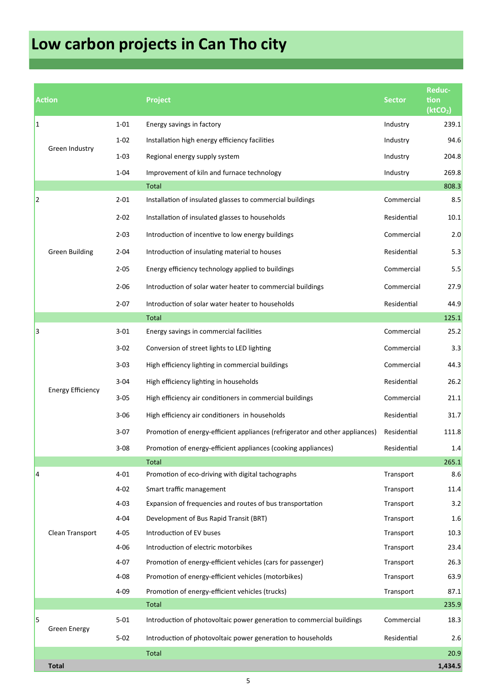# **Low carbon projects in Can Tho city**

Table 6: Detail emission reducƟon by projects in each category (ktCO2eq)

|    | <b>Action</b>            |          | <b>Project</b>                                                               | <b>Sector</b> | Reduc-<br>tion<br>(ktCO <sub>2</sub> ) |
|----|--------------------------|----------|------------------------------------------------------------------------------|---------------|----------------------------------------|
| 1  |                          | $1 - 01$ | Energy savings in factory                                                    | Industry      | 239.1                                  |
|    |                          | $1 - 02$ | Installation high energy efficiency facilities                               | Industry      | 94.6                                   |
|    | Green Industry           | $1 - 03$ | Regional energy supply system                                                | Industry      | 204.8                                  |
|    |                          | $1 - 04$ | Improvement of kiln and furnace technology                                   | Industry      | 269.8                                  |
|    |                          |          | Total                                                                        |               | 808.3                                  |
| 12 |                          | $2 - 01$ | Installation of insulated glasses to commercial buildings                    | Commercial    | 8.5                                    |
|    |                          | $2 - 02$ | Installation of insulated glasses to households                              | Residential   | 10.1                                   |
|    |                          | $2 - 03$ | Introduction of incentive to low energy buildings                            | Commercial    | 2.0                                    |
|    | <b>Green Building</b>    | $2 - 04$ | Introduction of insulating material to houses                                | Residential   | 5.3                                    |
|    |                          | $2 - 05$ | Energy efficiency technology applied to buildings                            | Commercial    | 5.5                                    |
|    |                          | $2 - 06$ | Introduction of solar water heater to commercial buildings                   | Commercial    | 27.9                                   |
|    |                          | $2 - 07$ | Introduction of solar water heater to households                             | Residential   | 44.9                                   |
|    |                          |          | <b>Total</b>                                                                 |               | 125.1                                  |
| 13 |                          | $3 - 01$ | Energy savings in commercial facilities                                      | Commercial    | 25.2                                   |
|    | <b>Energy Efficiency</b> | $3 - 02$ | Conversion of street lights to LED lighting                                  | Commercial    | 3.3                                    |
|    |                          | $3 - 03$ | High efficiency lighting in commercial buildings                             | Commercial    | 44.3                                   |
|    |                          | $3 - 04$ | High efficiency lighting in households                                       | Residential   | 26.2                                   |
|    |                          | $3 - 05$ | High efficiency air conditioners in commercial buildings                     | Commercial    | 21.1                                   |
|    |                          | $3 - 06$ | High efficiency air conditioners in households                               | Residential   | 31.7                                   |
|    |                          | $3-07$   | Promotion of energy-efficient appliances (refrigerator and other appliances) | Residential   | 111.8                                  |
|    |                          | $3 - 08$ | Promotion of energy-efficient appliances (cooking appliances)                | Residential   | 1.4                                    |
|    |                          |          | <b>Total</b>                                                                 |               | 265.1                                  |
| 14 |                          | $4 - 01$ | Promotion of eco-driving with digital tachographs                            | Transport     | 8.6                                    |
|    |                          | $4 - 02$ | Smart traffic management                                                     | Transport     | 11.4                                   |
|    |                          | $4 - 03$ | Expansion of frequencies and routes of bus transportation                    | Transport     | 3.2                                    |
|    |                          | $4 - 04$ | Development of Bus Rapid Transit (BRT)                                       | Transport     | 1.6                                    |
|    | Clean Transport          | $4 - 05$ | Introduction of EV buses                                                     | Transport     | 10.3                                   |
|    |                          | $4 - 06$ | Introduction of electric motorbikes                                          | Transport     | 23.4                                   |
|    |                          | $4 - 07$ | Promotion of energy-efficient vehicles (cars for passenger)                  | Transport     | 26.3                                   |
|    |                          | $4 - 08$ | Promotion of energy-efficient vehicles (motorbikes)                          | Transport     | 63.9                                   |
|    |                          | $4 - 09$ | Promotion of energy-efficient vehicles (trucks)                              | Transport     | 87.1                                   |
|    |                          |          | Total                                                                        |               | 235.9                                  |
| l5 |                          | $5 - 01$ | Introduction of photovoltaic power generation to commercial buildings        | Commercial    | 18.3                                   |
|    | <b>Green Energy</b>      | $5 - 02$ | Introduction of photovoltaic power generation to households                  | Residential   | 2.6                                    |
|    |                          |          | <b>Total</b>                                                                 |               | 20.9                                   |
|    | <b>Total</b>             |          |                                                                              |               | 1,434.5                                |